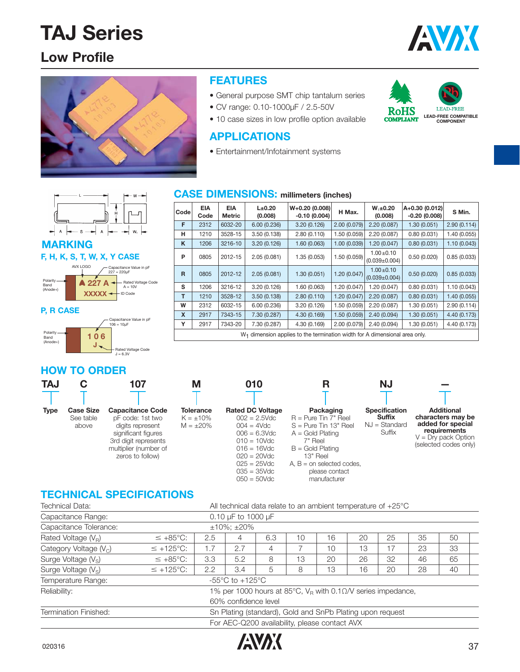### **Low Profile**





### **FEATURES**

**APPLICATIONS**

• General purpose SMT chip tantalum series

• 10 case sizes in low profile option available

• Entertainment/Infotainment systems

**CASE DIMENSIONS: millimeters (inches)**

**Code EIA EIA L±0.20 W+0.20 (0.008) H Max.**





**LEAD-FREE COMPATIBLE COMPONENT**



#### **MARKING F, H, K, S, T, W, X, Y CASE**



#### **P, R CASE**



#### **HOW TO ORDER**

| F | 2312 | 6032-20 | 6.00(0.236)                                                                            | 3.20(0.126)  | 2.00(0.079)  | 2.20(0.087)                            | 1.30(0.051) | 2.90(0.114)  |
|---|------|---------|----------------------------------------------------------------------------------------|--------------|--------------|----------------------------------------|-------------|--------------|
| н | 1210 | 3528-15 | 3.50(0.138)                                                                            | 2.80(0.110)  | 1.50 (0.059) | 2.20(0.087)                            | 0.80(0.031) | 1.40(0.055)  |
| ĸ | 1206 | 3216-10 | 3.20(0.126)                                                                            | 1.60(0.063)  | 1.00(0.039)  | 1.20 (0.047)                           | 0.80(0.031) | 1.10(0.043)  |
| P | 0805 | 2012-15 | 2.05(0.081)                                                                            | 1.35 (0.053) | 1.50(0.059)  | $1.00 \pm 0.10$<br>$(0.039 \pm 0.004)$ | 0.50(0.020) | 0.85(0.033)  |
| R | 0805 | 2012-12 | 2.05(0.081)                                                                            | 1.30(0.051)  | 1.20(0.047)  | $1.00 \pm 0.10$<br>$(0.039 \pm 0.004)$ | 0.50(0.020) | 0.85(0.033)  |
| s | 1206 | 3216-12 | 3.20(0.126)                                                                            | 1.60 (0.063) | 1.20(0.047)  | 1.20 (0.047)                           | 0.80(0.031) | 1.10(0.043)  |
| т | 1210 | 3528-12 | 3.50(0.138)                                                                            | 2.80(0.110)  | 1.20(0.047)  | 2.20(0.087)                            | 0.80(0.031) | 1.40(0.055)  |
| W | 2312 | 6032-15 | 6.00(0.236)                                                                            | 3.20 (0.126) | 1.50 (0.059) | 2.20(0.087)                            | 1.30(0.051) | 2.90(0.114)  |
| X | 2917 | 7343-15 | 7.30 (0.287)                                                                           | 4.30 (0.169) | 1.50(0.059)  | 2.40(0.094)                            | 1.30(0.051) | 4.40 (0.173) |
| Y | 2917 | 7343-20 | 7.30 (0.287)                                                                           | 4.30 (0.169) | 2.00(0.079)  | 2.40(0.094)                            | 1.30(0.051) | 4.40 (0.173) |
|   |      |         | W <sub>1</sub> dimension applies to the termination width for A dimensional area only. |              |              |                                        |             |              |
|   |      |         |                                                                                        |              |              |                                        |             |              |

**EIA EIA** L±0.20  $W_+0.20 (0.008)$  HMax.  $W_+±0.20 (0.012)$  SMin.<br> **Code Metric (0.008)** -0.10 (0.004) HMax. (0.008) -0.20 (0.008) SMin.

| <b>TAJ</b>  |                                        | 107                                                                                                                                                         | Μ                                                    | 010                                                                                                                                                                                              | R                                                                                                                                                                                                      | <b>NJ</b>                                                          |                                                                                                                               |
|-------------|----------------------------------------|-------------------------------------------------------------------------------------------------------------------------------------------------------------|------------------------------------------------------|--------------------------------------------------------------------------------------------------------------------------------------------------------------------------------------------------|--------------------------------------------------------------------------------------------------------------------------------------------------------------------------------------------------------|--------------------------------------------------------------------|-------------------------------------------------------------------------------------------------------------------------------|
|             |                                        |                                                                                                                                                             |                                                      |                                                                                                                                                                                                  |                                                                                                                                                                                                        |                                                                    |                                                                                                                               |
| <b>Type</b> | <b>Case Size</b><br>See table<br>above | <b>Capacitance Code</b><br>pF code: 1st two<br>digits represent<br>significant figures<br>3rd digit represents<br>multiplier (number of<br>zeros to follow) | <b>Tolerance</b><br>$K = \pm 10\%$<br>$M = \pm 20\%$ | <b>Rated DC Voltage</b><br>$002 = 2.5$ Vdc<br>$004 = 4Vdc$<br>$006 = 6.3$ Vdc<br>$010 = 10$ Vdc<br>$016 = 16$ Vdc<br>$020 = 20$ Vdc<br>$025 = 25 \text{Vdc}$<br>$035 = 35$ Vdc<br>$050 = 50$ Vdc | Packaging<br>$R =$ Pure Tin $7"$ Reel<br>$S = Pure$ Tin 13" Reel<br>$A = Gold Plating$<br>7" Reel<br>$B =$ Gold Plating<br>$13"$ Reel<br>A. $B =$ on selected codes.<br>please contact<br>manufacturer | <b>Specification</b><br><b>Suffix</b><br>$NJ = Standard$<br>Suffix | <b>Additional</b><br>characters may be<br>added for special<br>requirements<br>$V = Dry$ pack Option<br>(selected codes only) |

### **TECHNICAL SPECIFICATIONS**

| Technical Data:                                                                           | All technical data relate to an ambient temperature of $+25^{\circ}$ C |                         |                                     |                                                                         |    |    |    |    |    |    |  |
|-------------------------------------------------------------------------------------------|------------------------------------------------------------------------|-------------------------|-------------------------------------|-------------------------------------------------------------------------|----|----|----|----|----|----|--|
| Capacitance Range:                                                                        |                                                                        |                         | 0.10 $\mu$ F to 1000 $\mu$ F        |                                                                         |    |    |    |    |    |    |  |
| Capacitance Tolerance:                                                                    |                                                                        | $\pm 10\%$ ; $\pm 20\%$ |                                     |                                                                         |    |    |    |    |    |    |  |
| Rated Voltage $(V_R)$                                                                     | $\leq +85^{\circ}C$ :                                                  | 2.5                     |                                     | 6.3                                                                     | 10 | 16 | 20 | 25 | 35 | 50 |  |
| Category Voltage $(V_C)$                                                                  | $\leq$ +125°C:                                                         | 1.7                     | 2.7                                 | 4                                                                       |    | 10 | 13 | 17 | 23 | 33 |  |
| Surge Voltage $(V_s)$                                                                     | $\leq +85^{\circ}C$ :                                                  | 3.3                     | 5.2                                 | 8                                                                       | 13 | 20 | 26 | 32 | 46 | 65 |  |
| Surge Voltage $(V_s)$                                                                     | $\leq$ +125°C:                                                         | 2.2                     | 3.4                                 | 5                                                                       | 8  | 13 | 16 | 20 | 28 | 40 |  |
| Temperature Range:                                                                        |                                                                        |                         | $-55^{\circ}$ C to $+125^{\circ}$ C |                                                                         |    |    |    |    |    |    |  |
| Reliability:                                                                              |                                                                        |                         |                                     | 1% per 1000 hours at 85°C, $V_R$ with 0.1 $\Omega$ /V series impedance, |    |    |    |    |    |    |  |
|                                                                                           |                                                                        |                         | 60% confidence level                |                                                                         |    |    |    |    |    |    |  |
| Sn Plating (standard), Gold and SnPb Plating upon request<br><b>Termination Finished:</b> |                                                                        |                         |                                     |                                                                         |    |    |    |    |    |    |  |
|                                                                                           |                                                                        |                         |                                     | For AEC-Q200 availability, please contact AVX                           |    |    |    |    |    |    |  |

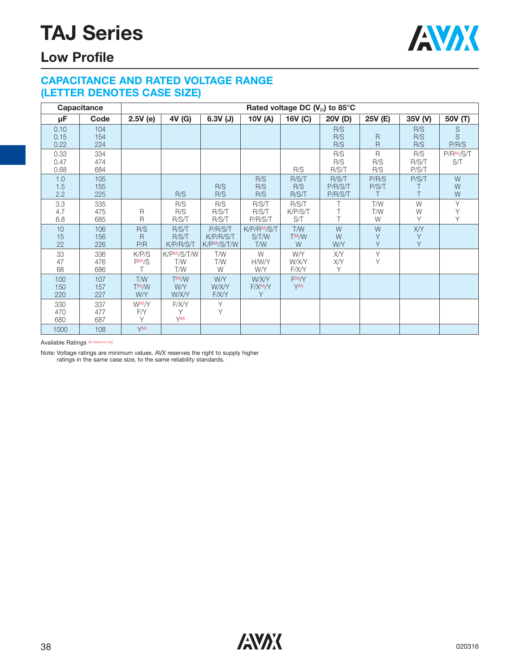

## **Low Profile**

### **CAPACITANCE AND RATED VOLTAGE RANGE (LETTER DENOTES CASE SIZE)**

|                      | Capacitance       | Rated voltage DC $(V_R)$ to 85°C        |                                            |                                                 |                                          |                                 |                             |                              |                       |                              |  |  |  |
|----------------------|-------------------|-----------------------------------------|--------------------------------------------|-------------------------------------------------|------------------------------------------|---------------------------------|-----------------------------|------------------------------|-----------------------|------------------------------|--|--|--|
| μF                   | Code              | 2.5V(e)                                 | 4V (G)                                     | $6.3V$ (J)                                      | 10V (A)                                  | 16V (C)                         | 20V (D)                     | 25V (E)                      | 35V (V)               | 50V (T)                      |  |  |  |
| 0.10<br>0.15<br>0.22 | 104<br>154<br>224 |                                         |                                            |                                                 |                                          |                                 | R/S<br>R/S<br>R/S           | $\mathsf{R}$<br>$\mathsf{R}$ | R/S<br>R/S<br>R/S     | $\mathsf S$<br>S<br>P/R/S    |  |  |  |
| 0.33<br>0.47<br>0.68 | 334<br>474<br>684 |                                         |                                            |                                                 |                                          | R/S                             | R/S<br>R/S<br>R/S/T         | $\mathsf{R}$<br>R/S<br>R/S   | R/S<br>R/S/T<br>P/S/T | P/R <sup>M</sup> /S/T<br>S/T |  |  |  |
| 1.0<br>1.5<br>2.2    | 105<br>155<br>225 |                                         | R/S                                        | R/S<br>R/S                                      | R/S<br>R/S<br>R/S                        | R/S/T<br>R/S<br>R/S/T           | R/S/T<br>P/R/S/T<br>P/R/S/T | P/R/S<br>P/S/T<br>T          | P/S/T<br>T            | W<br>W<br>W                  |  |  |  |
| 3.3<br>4.7<br>6.8    | 335<br>475<br>685 | R<br>R                                  | R/S<br>R/S<br>R/S/T                        | R/S<br>R/S/T<br>R/S/T                           | R/S/T<br>R/S/T<br>P/R/S/T                | R/S/T<br>K/P/S/T<br>S/T         |                             | T/W<br>T/W<br>W              | W<br>W<br>Υ           | Υ<br>Υ<br>Y                  |  |  |  |
| 10<br>15<br>22       | 106<br>156<br>226 | R/S<br>R.<br>P/R                        | R/S/T<br>R/S/T<br>K/P/R/S/T                | P/R/S/T<br>K/P/R/S/T<br>K/P <sup>M</sup> /S/T/W | K/P/R <sup>M/</sup> /S/T<br>S/T/W<br>T/W | T/W<br>T <sup>(M)</sup> /W<br>W | W<br>W<br>W/Y               | W<br>Y<br>$\vee$             | <b>X/Y</b><br>Y<br>Y  |                              |  |  |  |
| 33<br>47<br>68       | 336<br>476<br>686 | K/P/S<br>P(M)/S<br>Τ                    | K/PM/S/T/W<br>T/W<br>T/W                   | T/W<br>T/W<br>W                                 | W<br><b>H/W/Y</b><br>W/Y                 | <b>WY</b><br>W/X/Y<br>F/X/Y     | <b>X/Y</b><br>X/Y<br>Y      | Y<br>Y                       |                       |                              |  |  |  |
| 100<br>150<br>220    | 107<br>157<br>227 | <b>T/W</b><br>$T^{(M)}/W$<br><b>W/Y</b> | T <sup>(M)</sup> /W<br>W/Y<br><b>W/X/Y</b> | <b>WY</b><br>W/X/Y<br>F/X/Y                     | <b>W/X/Y</b><br>F/X <sup>M</sup> /Y<br>Y | $F^{(M)}/Y$<br>$Y^{(M)}$        |                             |                              |                       |                              |  |  |  |
| 330<br>470<br>680    | 337<br>477<br>687 | W <sub>(M)</sub> /Y<br>F/Y<br>Υ         | F/X/Y<br>Υ<br>$Y^{(M)}$                    | Y<br>Υ                                          |                                          |                                 |                             |                              |                       |                              |  |  |  |
| 1000                 | 108               | $Y^{(M)}$                               |                                            |                                                 |                                          |                                 |                             |                              |                       |                              |  |  |  |

Available Ratings (M tolerance only)

Note: Voltage ratings are minimum values. AVX reserves the right to supply higher ratings in the same case size, to the same reliability standards.

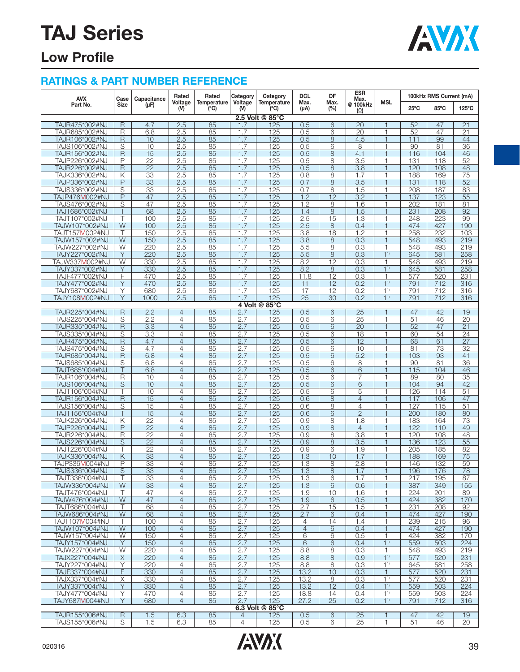

## **Low Profile**

| <b>AVX</b>                       | Case                    | Capacitance     | Rated                            | Rated              | Category<br>Voltage | Category<br>Temperature | <b>DCL</b>          | DF                  | ESR<br>Max.            |                                  | 100kHz RMS Current (mA) |            |                       |  |
|----------------------------------|-------------------------|-----------------|----------------------------------|--------------------|---------------------|-------------------------|---------------------|---------------------|------------------------|----------------------------------|-------------------------|------------|-----------------------|--|
| Part No.                         | <b>Size</b>             | (µF)            | Voltage<br>(V)                   | Temperature<br>(C) | $(V)$               | (C)                     | Max.<br>(µA)        | Max.<br>(%)         | @ 100kHz<br>$(\Omega)$ | <b>MSL</b>                       | $25^{\circ}$ C          | 85°C       | 125°C                 |  |
|                                  |                         |                 |                                  |                    |                     | 2.5 Volt @ 85°C         |                     |                     |                        |                                  |                         |            |                       |  |
| TAJR475*002#NJ                   | $\mathsf{R}$            | 4.7             | 2.5                              | 85                 | 1.7                 | 125                     | 0.5                 | 6                   | $\overline{20}$        | $\mathbf 1$                      | 52                      | 47         | $\overline{21}$       |  |
| TAJR685*002#NJ                   | R                       | 6.8             | 2.5                              | 85                 | 1.7                 | 125                     | 0.5                 | 6                   | 20                     | 1                                | 52                      | 47         | 21                    |  |
| TAJR106*002#NJ<br>TAJS106*002#NJ | $\mathsf{R}$            | 10<br>10        | 2.5<br>2.5                       | 85<br>85           | 1.7<br>1.7          | 125<br>125              | 0.5<br>0.5          | 8<br>6              | 4.5<br>8               | $\mathbf{1}$<br>1                | 111<br>90               | 99<br>81   | 44<br>36              |  |
| TAJR156*002#NJ                   | S<br>$\overline{R}$     | 15              | 2.5                              | 85                 | 1.7                 | 125                     | 0.5                 | 8                   | 4.1                    | $\overline{1}$                   | 116                     | 104        | 46                    |  |
| TAJP226*002#NJ                   | P                       | $\overline{22}$ | 2.5                              | 85                 | 1.7                 | 125                     | 0.5                 | 8                   | 3.5                    | 1                                | 131                     | 118        | $\overline{52}$       |  |
| TAJR226*002#NJ                   | $\overline{\mathsf{R}}$ | $\overline{22}$ | 2.5                              | 85                 | 1.7                 | 125                     | 0.5                 | $\overline{8}$      | 3.8                    | $\mathbf{1}$                     | 120                     | 108        | 48                    |  |
| TAJK336*002#NJ                   | Κ                       | 33              | 2.5                              | 85                 | 1.7                 | 125                     | 0.8                 | 8                   | 1.7                    | $\mathbf{1}$                     | 188                     | 169        | $\overline{75}$       |  |
| TAJP336*002#NJ                   | P                       | $\overline{33}$ | 2.5                              | 85                 | 1.7                 | 125                     | 0.7                 | 8                   | 3.5                    | $\overline{1}$                   | 131                     | 118        | 52                    |  |
| TAJS336*002#NJ                   | $\overline{S}$          | $\overline{33}$ | 2.5                              | 85                 | 1.7                 | 125                     | 0.7                 | 8                   | 1.5                    | 1                                | 208                     | 187        | 83                    |  |
| TAJP476M002#NJ                   | P                       | 47              | 2.5                              | 85                 | 1.7                 | 125                     | 1.2                 | 12                  | 3.2                    | $\overline{1}$                   | 137                     | 123        | 55                    |  |
| TAJS476*002#NJ<br>TAJT686*002#NJ | S<br>$\overline{\top}$  | 47<br>68        | 2.5<br>2.5                       | 85<br>85           | 1.7<br>1.7          | 125<br>125              | 1.2<br>1.4          | 8<br>$\overline{8}$ | 1.6<br>1.5             | $\overline{1}$<br>$\mathbf{1}$   | 202<br>231              | 181<br>208 | 81<br>92              |  |
| TAJT107*002#NJ                   | Τ                       | 100             | 2.5                              | 85                 | 1.7                 | 125                     | 2.5                 | 15                  | 1.3                    | 1                                | 248                     | 223        | 99                    |  |
| TAJW107*002#NJ                   | W                       | 100             | 2.5                              | 85                 | 1.7                 | 125                     | 2.5                 | 8                   | 0.4                    | $\mathbf{1}$                     | 474                     | 427        | 190                   |  |
| TAJT157M002#NJ                   | Т                       | 150             | 2.5                              | 85                 | 1.7                 | 125                     | 3.8                 | 18                  | 1.2                    | 1                                | 258                     | 232        | 103                   |  |
| TAJW157*002#NJ                   | W                       | 150             | 2.5                              | 85                 | 1.7                 | 125                     | 3.8                 | 8                   | 0.3                    | $\overline{1}$                   | 548                     | 493        | 219                   |  |
| TAJW227*002#NJ                   | W                       | 220             | 2.5                              | 85                 | 1.7                 | 125                     | 5.5                 | 8                   | 0.3                    | $\overline{1}$                   | 548                     | 493        | 219                   |  |
| TAJY227*002#NJ                   | Y                       | 220             | 2.5                              | 85                 | 1.7                 | 125                     | 5.5                 | 8                   | 0.3                    | 1 <sup>1</sup>                   | 645                     | 581        | 258                   |  |
| TAJW337 <b>M</b> 002#NJ          | W                       | 330             | 2.5                              | 85                 | 1.7                 | 125                     | 8.2                 | 12                  | 0.3                    | 1                                | 548                     | 493        | 219                   |  |
| TAJY337*002#NJ                   | Y<br>F                  | 330             | 2.5                              | 85                 | 1.7                 | 125                     | 8.2                 | 8<br>12             | 0.3                    | 1 <sup>1</sup><br>1              | 645                     | 581<br>520 | 258                   |  |
| TAJF477*002#NJ<br>TAJY477*002#NJ | Y                       | 470<br>470      | 2.5<br>2.5                       | 85<br>85           | 1.7<br>1.7          | 125<br>125              | 11.8<br>11          | 12                  | 0.3<br>0.2             | 1 <sup>1</sup>                   | 577<br>791              | 712        | 231<br>316            |  |
| TAJY687*002#NJ                   | Υ                       | 680             | 2.5                              | 85                 | 1.7                 | 125                     | 17                  | $\overline{12}$     | 0.2                    | 1 <sup>1</sup>                   | 791                     | 712        | 316                   |  |
| TAJY108M002#NJ                   | Υ                       | 1000            | 2.5                              | 85                 | 1.7                 | 125                     | $\overline{25}$     | 30                  | 0.2                    | 1 <sup>1</sup>                   | 791                     | 712        | 316                   |  |
|                                  |                         |                 |                                  |                    |                     | 4 Volt @ 85°C           |                     |                     |                        |                                  |                         |            |                       |  |
| TAJR225*004#NJ                   | $\mathsf R$             | 2.2             | 4                                | 85                 | 2.7                 | 125                     | 0.5                 | 6                   | 25                     | 1                                | 47                      | 42         | 19                    |  |
| TAJS225*004#NJ                   | $\overline{S}$          | 2.2             | $\overline{4}$                   | 85                 | 2.7                 | 125                     | 0.5                 | 6                   | 25                     | $\mathbf{1}$                     | 51                      | 46         | $\overline{20}$       |  |
| TAJR335*004#NJ<br>TAJS335*004#NJ | R                       | 3.3             | $\overline{4}$                   | 85                 | 2.7                 | 125                     | 0.5                 | 6                   | 20<br>$\overline{18}$  | $\overline{1}$<br>$\overline{1}$ | 52                      | 47         | 21<br>$\overline{24}$ |  |
| TAJR475*004#NJ                   | S<br>$\overline{R}$     | 3.3<br>4.7      | 4<br>$\overline{4}$              | 85<br>85           | 2.7<br>2.7          | 125<br>125              | 0.5<br>0.5          | 6<br>6              | 12                     | $\mathbf{1}$                     | 60<br>68                | 54<br>61   | 27                    |  |
| TAJS475*004#NJ                   | S                       | 4.7             | $\overline{4}$                   | 85                 | 2.7                 | 125                     | 0.5                 | 6                   | 10                     | 1                                | 81                      | 73         | $\overline{32}$       |  |
| TAJR685*004#NJ                   | R                       | 6.8             | 4                                | 85                 | 2.7                 | 125                     | 0.5                 | 6                   | 5.2                    | $\overline{1}$                   | 103                     | 93         | 41                    |  |
| TAJS685*004#NJ                   | S                       | 6.8             | $\overline{4}$                   | 85                 | 2.7                 | 125                     | 0.5                 | 6                   | 8                      | 1                                | 90                      | 81         | 36                    |  |
| TAJT685*004#NJ                   | Τ                       | 6.8             | $\overline{4}$                   | 85                 | 2.7                 | 125                     | 0.5                 | 6                   | 6                      | $\overline{1}$                   | 115                     | 104        | 46                    |  |
| TAJR106*004#NJ                   | R                       | 10              | 4                                | 85                 | 2.7                 | 125                     | 0.5                 | 6                   | $\overline{7}$         | 1                                | 89                      | 80         | $\overline{35}$       |  |
| TAJS106*004#NJ                   | $\overline{S}$          | 10              | $\overline{4}$                   | 85                 | 2.7                 | 125                     | 0.5                 | 6                   | 6                      | $\mathbf{1}$                     | 104                     | 94         | 42                    |  |
| TAJT106*004#NJ<br>TAJR156*004#NJ | Τ<br>R                  | 10<br>15        | $\overline{4}$<br>$\overline{4}$ | 85<br>85           | 2.7<br>2.7          | 125<br>125              | 0.5<br>0.6          | 6<br>8              | 5<br>$\overline{4}$    | $\mathbf{1}$<br>$\mathbf{1}$     | 126<br>117              | 114<br>106 | 51<br>47              |  |
| TAJS156*004#NJ                   | S                       | 15              | $\overline{4}$                   | 85                 | 2.7                 | 125                     | 0.6                 | 8                   | $\overline{4}$         | 1                                | 127                     | 115        | 51                    |  |
| TAJT156*004#NJ                   |                         | 15              | $\overline{4}$                   | 85                 | 2.7                 | 125                     | 0.6                 | 6                   | $\overline{2}$         | $\overline{1}$                   | 200                     | 180        | 80                    |  |
| TAJK226*004#NJ                   | Κ                       | $\overline{22}$ | 4                                | 85                 | 2.7                 | 125                     | 0.9                 | 8                   | 1.8                    | $\overline{1}$                   | 183                     | 164        | 73                    |  |
| TAJP226*004#NJ                   | $\overline{P}$          | $\overline{22}$ | $\overline{4}$                   | 85                 | 2.7                 | 125                     | 0.9                 | 8                   | $\overline{4}$         | $\mathbf{1}$                     | 122                     | 110        | 49                    |  |
| TAJR226*004#NJ                   | R                       | 22              | $\overline{4}$                   | 85                 | 2.7                 | 125                     | 0.9                 | 8                   | 3.8                    | 1                                | 120                     | 108        | 48                    |  |
| TAJS226*004#NJ                   | S                       | $\overline{22}$ | $\overline{4}$                   | 85                 | 2.7                 | 125                     | 0.9                 | 8                   | 3.5                    | 1                                | 136                     | 123        | $\overline{55}$       |  |
| TAJT226*004#NJ                   | Τ                       | $\overline{22}$ | $\overline{4}$                   | 85                 | 2.7                 | 125                     | 0.9                 | 6                   | 1.9                    | 1                                | 205                     | 185        | 82                    |  |
| TAJK336*004#NJ<br>TAJP336M004#NJ | Κ<br>Ρ                  | 33<br>33        | $\overline{4}$<br>4              | 85<br>85           | 2.7<br>2.7          | 125<br>125              | 1.3<br>1.3          | 10<br>8             | 1.7<br>2.8             | 1<br>1                           | 188<br>146              | 169<br>132 | 75<br>59              |  |
| TAJS336*004#NJ                   | $\overline{S}$          | $\overline{33}$ | 4                                | 85                 | 2.7                 | 125                     | 1.3                 | $\overline{8}$      | 1.7                    | $\mathbf{1}$                     | 196                     | 176        | 78                    |  |
| TAJT336*004#NJ                   | $\top$                  | 33              | $\overline{4}$                   | 85                 | 2.7                 | 125                     | 1.3                 | 6                   | 1.7                    | $\mathbf{1}$                     | 217                     | 195        | 87                    |  |
| TAJW336*004#NJ                   | W                       | 33              | $\overline{4}$                   | 85                 | 2.7                 | 125                     | 1.3                 | 6                   | 0.6                    | $\mathbf{1}$                     | 387                     | 349        | 155                   |  |
| TAJT476*004#NJ                   | Τ                       | 47              | 4                                | 85                 | 2.7                 | 125                     | 1.9                 | 10                  | 1.6                    | 1                                | 224                     | 201        | 89                    |  |
| TAJW476*004#NJ                   | W                       | 47              | $\overline{4}$                   | 85                 | 2.7                 | 125                     | 1.9                 | 6                   | 0.5                    | $\mathbf{1}$                     | 424                     | 382        | 170                   |  |
| TAJT686*004#NJ                   | Τ                       | 68              | 4                                | 85                 | 2.7                 | 125                     | 2.7                 | 15                  | 1.5                    | 1                                | 231                     | 208        | 92                    |  |
| TAJW686*004#NJ                   | W                       | 68              | $\overline{4}$                   | 85                 | 2.7                 | 125                     | 2.7                 | 6                   | 0.4                    | $\mathbf{1}$                     | 474                     | 427        | 190                   |  |
| TAJT107M004#NJ<br>TAJW107*004#NJ | Τ<br>W                  | 100<br>100      | $\overline{4}$<br>$\overline{4}$ | 85<br>85           | 2.7<br>2.7          | 125<br>125              | 4<br>$\overline{4}$ | 14<br>6             | 1.4<br>0.4             | 1<br>$\mathbf{1}$                | 239<br>474              | 215<br>427 | 96<br>190             |  |
| TAJW157*004#NJ                   | W                       | 150             | 4                                | 85                 | 2.7                 | 125                     | 6                   | 6                   | 0.5                    | 1                                | 424                     | 382        | 170                   |  |
| TAJY157*004#NJ                   | Y                       | 150             | $\overline{4}$                   | 85                 | 2.7                 | 125                     | 6                   | 6                   | 0.4                    | 1 <sup>1</sup>                   | 559                     | 503        | 224                   |  |
| TAJW227*004#NJ                   | W                       | 220             | 4                                | 85                 | 2.7                 | 125                     | 8.8                 | 8                   | 0.3                    | $\mathbf{1}$                     | 548                     | 493        | 219                   |  |
| TAJX227*004#NJ                   | X                       | 220             | $\overline{4}$                   | 85                 | 2.7                 | 125                     | 8.8                 | 8                   | 0.9                    | 1 <sup>1</sup>                   | 577                     | 520        | 231                   |  |
| TAJY227*004#NJ                   | Y                       | 220             | $\overline{4}$                   | 85                 | 2.7                 | 125                     | 8.8                 | 8                   | 0.3                    | $1^{1}$                          | 645                     | 581        | 258                   |  |
| TAJF337*004#NJ                   | F                       | 330             | $\overline{4}$                   | 85                 | 2.7                 | 125                     | 13.2                | 10                  | 0.3                    | $\mathbf{1}$                     | 577                     | 520        | 231                   |  |
| TAJX337*004#NJ                   | X<br>Y                  | 330             | 4<br>$\overline{4}$              | 85                 | 2.7                 | 125                     | 13.2                | 8<br>12             | 0.3                    | 1 <sup>1</sup><br>$1^{1}$        | 577                     | 520        | 231                   |  |
| TAJY337*004#NJ<br>TAJY477*004#NJ | Υ                       | 330<br>470      | 4                                | 85<br>85           | 2.7<br>2.7          | 125<br>125              | 13.2<br>18.8        | 14                  | 0.4<br>0.4             | 1 <sup>1</sup>                   | 559<br>559              | 503<br>503 | 224<br>224            |  |
| TAJY687M004#NJ                   | Y                       | 680             | $\overline{4}$                   | 85                 | 2.7                 | 125                     | 27.2                | 25                  | 0.2                    | 1 <sup>1</sup>                   | 791                     | 712        | 316                   |  |
|                                  |                         |                 |                                  |                    |                     | 6.3 Volt @ 85°C         |                     |                     |                        |                                  |                         |            |                       |  |
| TAJR155*006#NJ                   | R                       | 1.5             | 6.3                              | 85                 | 4                   | 125                     | 0.5                 | 6                   | 25                     | 1                                | 47                      | 42         | 19                    |  |
| TAJS155*006#NJ                   | S                       | 1.5             | 6.3                              | 85                 | $\overline{4}$      | 125                     | 0.5                 | 6                   | 25                     | $\mathbf{1}$                     | 51                      | 46         | 20                    |  |

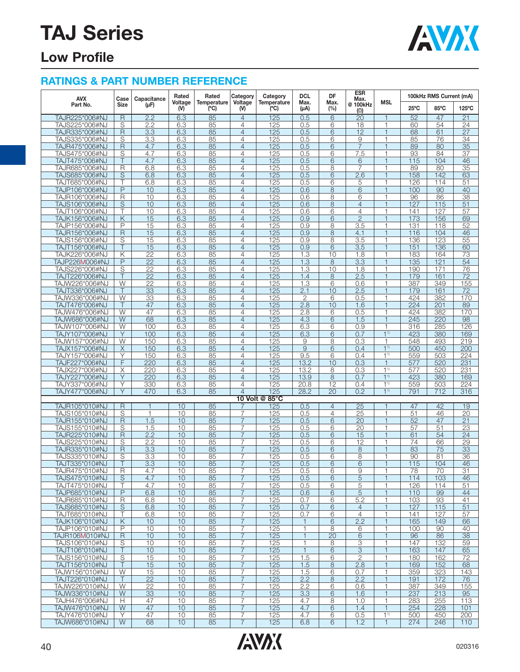

## **Low Profile**

| <b>AVX</b>                              |                              | Case<br>Capacitance                | Rated<br>Voltage | Rated<br>Temperature | Category<br>Voltage              | Category                  | <b>DCL</b>        | DF<br>Max.<br>Max. | <b>ESR</b>            |                                  |                | 100kHz RMS Current (mA) |                       |
|-----------------------------------------|------------------------------|------------------------------------|------------------|----------------------|----------------------------------|---------------------------|-------------------|--------------------|-----------------------|----------------------------------|----------------|-------------------------|-----------------------|
| Part No.                                | <b>Size</b>                  | $(\mu F)$                          | (V)              | (C)                  | (N)                              | <b>Temperature</b><br>(C) | Max.<br>(µA)      | (%)                | @ 100kHz<br>(Ω)       | <b>MSL</b>                       | $25^{\circ}$ C | 85°C                    | 125°C                 |
| TAJR225*006#NJ                          | R                            | 2.2                                | 6.3              | 85                   | $\overline{4}$                   | 125                       | 0.5               | 6                  | 20                    | $\overline{1}$                   | 52             | 47                      | $\overline{21}$       |
| TAJS225*006#NJ                          | S                            | 2.2                                | 6.3              | 85                   | $\overline{4}$<br>$\overline{4}$ | 125                       | 0.5               | 6                  | 18<br>12              | 1                                | 60             | 54                      | $\overline{24}$<br>27 |
| TAJR335*006#NJ<br>TAJS335*006#NJ        | $\mathsf{R}$<br>S            | 3.3<br>3.3                         | 6.3<br>6.3       | 85<br>85             | 4                                | 125<br>125                | 0.5<br>0.5        | 6<br>6             | 9                     | 1<br>1                           | 68<br>85       | 61<br>76                | 34                    |
| TAJR475*006#NJ                          | $\mathsf{R}$                 | 4.7                                | 6.3              | 85                   | $\overline{4}$                   | 125                       | 0.5               | 6                  | $\overline{7}$        | $\overline{1}$                   | 89             | 80                      | $\overline{35}$       |
| TAJS475*006#NJ                          | S                            | 4.7                                | 6.3              | 85                   | $\overline{4}$                   | 125                       | 0.5               | 6                  | 7.5                   | $\overline{1}$                   | 93             | 84                      | 37                    |
| TAJT475*006#NJ                          | Τ                            | 4.7                                | 6.3              | 85                   | $\overline{4}$                   | 125                       | 0.5               | 6                  | 6                     | $\mathbf{1}$                     | 115            | 104                     | 46                    |
| TAJR685*006#NJ                          | R                            | 6.8                                | 6.3              | 85                   | $\overline{4}$                   | 125                       | 0.5               | 8                  | $\overline{7}$        | 1                                | 89             | 80                      | $\overline{35}$       |
| TAJS685*006#NJ<br>TAJT685*006#NJ        | S                            | 6.8<br>6.8                         | 6.3<br>6.3       | 85<br>85             | $\overline{4}$<br>$\overline{4}$ | 125<br>125                | 0.5<br>0.5        | 6<br>6             | 2.6<br>5              | $\mathbf{1}$<br>1                | 158<br>126     | 142<br>114              | 63<br>51              |
| TAJP106*006#NJ                          | $\overline{P}$               | 10                                 | 6.3              | 85                   | $\overline{4}$                   | 125                       | 0.6               | 8                  | 6                     | $\overline{1}$                   | 100            | 90                      | 40                    |
| TAJR106*006#NJ                          | R                            | 10                                 | 6.3              | 85                   | 4                                | 125                       | 0.6               | 8                  | 6                     |                                  | 96             | 86                      | 38                    |
| TAJS106*006#NJ                          | S                            | 10                                 | 6.3              | 85                   | $\overline{4}$                   | 125                       | 0.6               | 8                  | $\overline{4}$        | $\mathbf{1}$                     | 127            | 115                     | 51                    |
| TAJT106*006#NJ                          | Τ                            | 10                                 | 6.3              | 85                   | $\overline{4}$                   | 125                       | 0.6               | 6                  | $\overline{4}$        | 1                                | 141            | 127                     | 57                    |
| TAJK156*006#NJ<br>TAJP156*006#NJ        | Κ<br>P                       | 15<br>15                           | 6.3<br>6.3       | 85<br>85             | $\overline{4}$<br>4              | 125<br>125                | 0.9<br>0.9        | 6<br>8             | $\overline{2}$<br>3.5 | $\mathbf 1$<br>1                 | 173<br>131     | 156<br>118              | 69<br>52              |
| TAJR156*006#NJ                          | $\mathsf{R}$                 | 15                                 | 6.3              | 85                   | $\overline{4}$                   | 125                       | 0.9               | 8                  | 4.1                   | $\mathbf{1}$                     | 116            | 104                     | 46                    |
| TAJS156*006#NJ                          | S                            | 15                                 | 6.3              | 85                   | $\overline{4}$                   | 125                       | 0.9               | 8                  | 3.5                   | $\mathbf{1}$                     | 136            | 123                     | 55                    |
| TAJT156*006#NJ                          | Τ                            | 15                                 | 6.3              | 85                   | $\overline{4}$                   | 125                       | 0.9               | 6                  | 3.5                   | $\mathbf{1}$                     | 151            | 136                     | 60                    |
| TAJK226*006#NJ                          | Κ                            | $\overline{22}$                    | 6.3              | 85                   | $\overline{4}$                   | 125                       | 1.3               | 10                 | 1.8                   | 1                                | 183            | 164                     | 73                    |
| <b>TAJP226M006#NJ</b><br>TAJS226*006#NJ | P<br>S                       | $\overline{22}$<br>$\overline{22}$ | 6.3<br>6.3       | 85<br>85             | $\overline{4}$<br>$\overline{4}$ | 125<br>125                | 1.3<br>1.3        | 8<br>10            | 3.3<br>1.8            | $\mathbf{1}$<br>1                | 135<br>190     | 121<br>171              | 54<br>76              |
| TAJT226*006#NJ                          |                              | $\overline{22}$                    | 6.3              | 85                   | $\overline{4}$                   | 125                       | 1.4               | 8                  | 2.5                   | $\overline{1}$                   | 179            | 161                     | $\overline{72}$       |
| TAJW226*006#NJ                          | W                            | 22                                 | 6.3              | 85                   | $\overline{4}$                   | 125                       | 1.3               | 6                  | 0.6                   |                                  | 387            | 349                     | 155                   |
| TAJT336*006#NJ                          | Τ                            | 33                                 | 6.3              | 85                   | $\overline{4}$                   | 125                       | 2.1               | 10                 | 2.5                   | $\mathbf{1}$                     | 179            | 161                     | 72                    |
| TAJW336*006#NJ                          | W                            | 33                                 | 6.3              | 85                   | $\overline{4}$                   | 125                       | $\mathbf{2}$      | 6                  | 0.5                   | 1                                | 424            | 382                     | 170                   |
| TAJT476*006#NJ<br>TAJW476*006#NJ        | $\top$<br>W                  | 47<br>47                           | 6.3<br>6.3       | 85<br>85             | $\overline{4}$<br>4              | 125<br>125                | 2.8<br>2.8        | 10<br>6            | 1.6<br>0.5            | $\mathbf 1$<br>1                 | 224<br>424     | 201<br>382              | 89<br>170             |
| TAJW686*006#NJ                          | W                            | 68                                 | 6.3              | 85                   | $\overline{4}$                   | 125                       | 4.3               | 6                  | 1.5                   | $\mathbf{1}$                     | 245            | 220                     | 98                    |
| TAJW107*006#NJ                          | W                            | 100                                | 6.3              | 85                   | $\overline{4}$                   | 125                       | 6.3               | 6                  | 0.9                   | 1                                | 316            | 285                     | 126                   |
| TAJY107*006#NJ                          | Y                            | 100                                | 6.3              | 85                   | $\overline{4}$                   | 125                       | 6.3               | 6                  | 0.7                   | 1 <sup>1</sup>                   | 423            | 380                     | 169                   |
| TAJW157*006#NJ                          | W                            | 150                                | 6.3              | 85                   | $\overline{4}$                   | 125                       | 9                 | 8                  | 0.3                   | 1                                | 548            | 493                     | 219                   |
| TAJX157*006#NJ<br>TAJY157*006#NJ        | X<br>Υ                       | 150<br>150                         | 6.3<br>6.3       | 85<br>85             | $\overline{4}$<br>$\overline{4}$ | 125<br>125                | 9<br>9.5          | 6<br>6             | 0.4<br>0.4            | 1 <sup>1</sup><br>1 <sup>1</sup> | 500<br>559     | 450<br>503              | 200<br>224            |
| TAJF227*006#NJ                          | F                            | 220                                | 6.3              | 85                   | $\overline{4}$                   | 125                       | 13.2              | 10                 | 0.3                   | $\mathbf{1}$                     | 577            | 520                     | 231                   |
| TAJX227*006#NJ                          | X                            | 220                                | 6.3              | 85                   | $\overline{4}$                   | 125                       | 13.2              | 8                  | 0.3                   | 1 <sup>1</sup>                   | 577            | 520                     | 231                   |
| TAJY227*006#NJ                          | Y                            | 220                                | 6.3              | 85                   | $\overline{4}$                   | 125                       | 13.9              | 8                  | 0.7                   | 1 <sup>1</sup>                   | 423            | 380                     | 169                   |
| TAJY337*006#NJ                          | Υ                            | 330                                | 6.3              | 85                   | $\overline{4}$                   | 125                       | 20.8              | $\overline{12}$    | 0.4                   | 1 <sup>1</sup>                   | 559            | 503                     | 224                   |
| TAJY477*006#NJ                          | Y                            | 470                                | 6.3              | 85                   | $\overline{4}$                   | 125<br>10 Volt @ 85°C     | 28.2              | 20                 | 0.2                   | 1 <sup>1</sup>                   | 791            | 712                     | 316                   |
| TAJR105*010#NJ                          | R                            | $\mathbf{1}$                       | 10               | 85                   |                                  | 125                       | 0.5               | $\overline{4}$     | $\overline{25}$       |                                  | 47             | 42                      | 19                    |
| TAJS105*010#NJ                          | S                            | $\overline{1}$                     | 10               | 85                   | $\overline{7}$                   | 125                       | 0.5               | $\overline{4}$     | 25                    | $\overline{1}$                   | 51             | 46                      | 20                    |
| TAJR155*010#NJ                          | R                            | 1.5                                | 10               | 85                   | $\overline{7}$                   | 125                       | 0.5               | 6                  | 20                    | $\mathbf{1}$                     | 52             | 47                      | 21                    |
| TAJS155*010#NJ                          | S                            | 1.5                                | 10               | 85                   | $\overline{7}$                   | 125                       | 0.5               | 6                  | 20                    | 1                                | 57             | 51                      | 23                    |
| TAJR225*010#NJ<br>TAJS225*010#NJ        | $\mathsf{R}$<br>S            | 2.2<br>2.2                         | 10<br>10         | 85<br>85             | $\overline{7}$<br>7              | 125<br>125                | 0.5<br>0.5        | 6<br>6             | 15<br>12              | $\mathbf{1}$<br>1                | 61<br>74       | 54<br>66                | 24<br>$\overline{29}$ |
| TAJR335*010#NJ                          | R                            | 3.3                                | 10               | 85                   | $\overline{7}$                   | 125                       | 0.5               | 6                  | 8                     | $\mathbf{1}$                     | 83             | 75                      | $\overline{33}$       |
| TAJS335*010#NJ                          | S                            | 3.3                                | 10               | 85                   | 7                                | 125                       | 0.5               | 6                  | 8                     |                                  | 90             | 81                      | 36                    |
| TAJT335*010#NJ                          | Τ                            | 3.3                                | 10               | 85                   | 7                                | 125                       | 0.5               | 6                  | 6                     | $\mathbf{1}$                     | 115            | 104                     | 46                    |
| TAJR475*010#NJ                          | $\overline{R}$               | 4.7                                | 10               | $\overline{85}$      | 7                                | 125                       | 0.5               | 6                  | 9                     | 1                                | 78             | 70                      | $\overline{31}$       |
| TAJS475*010#NJ<br>TAJT475*010#NJ        | S<br>Τ                       | 4.7<br>4.7                         | 10<br>10         | 85<br>85             | $\overline{7}$<br>7              | 125<br>125                | 0.5<br>0.5        | 6<br>6             | 5<br>5                | $\mathbf{1}$<br>1                | 114<br>126     | 103<br>114              | 46<br>51              |
| TAJP685*010#NJ                          | P                            | 6.8                                | 10               | 85                   | 7                                | 125                       | 0.6               | 6                  | 5                     | $\mathbf{1}$                     | 110            | 99                      | 44                    |
| TAJR685*010#NJ                          | R                            | 6.8                                | 10               | 85                   | 7                                | 125                       | 0.7               | 6                  | 5.2                   | 1                                | 103            | 93                      | 41                    |
| TAJS685*010#NJ                          | S                            | 6.8                                | 10               | 85                   | $\overline{7}$                   | 125                       | 0.7               | 6                  | $\overline{4}$        | $\mathbf{1}$                     | 127            | 115                     | 51                    |
| TAJT685*010#NJ                          | Τ<br>K                       | 6.8                                | 10<br>10         | 85<br>85             | $\overline{7}$                   | 125                       | 0.7               | 6                  | $\overline{4}$        | 1                                | 141            | 127                     | 57                    |
| TAJK106*010#NJ<br>TAJP106*010#NJ        | Р                            | 10<br>10                           | 10               | 85                   | $\overline{7}$<br>7              | 125<br>125                | $\mathbf{1}$<br>1 | 6<br>8             | 2.2<br>6              | $\mathbf{1}$<br>1                | 165<br>100     | 149<br>90               | 66<br>40              |
| TAJR106M010#NJ                          | R                            | 10                                 | 10               | 85                   | $\overline{7}$                   | 125                       | $\mathbf{1}$      | $\overline{20}$    | 6                     | $\mathbf{1}$                     | 96             | 86                      | 38                    |
| TAJS106*010#NJ                          | S                            | 10                                 | 10               | 85                   | $\overline{7}$                   | 125                       | 1                 | 8                  | 3                     | 1                                | 147            | 132                     | 59                    |
| TAJT106*010#NJ                          | T                            | 10                                 | 10               | 85                   | $\overline{7}$                   | 125                       | $\mathbf{1}$      | 6                  | $\overline{3}$        | $\mathbf{1}$                     | 163            | 147                     | 65                    |
| TAJS156*010#NJ<br>TAJT156*010#NJ        | $\overline{\mathsf{S}}$<br>Τ | 15<br>15                           | 10<br>10         | 85<br>85             | $\overline{7}$<br>$\overline{7}$ | 125<br>125                | 1.5<br>1.5        | 6<br>8             | $\overline{2}$<br>2.8 | $\mathbf{1}$<br>$\mathbf{1}$     | 180<br>169     | 162<br>152              | 72<br>68              |
| TAJW156*010#NJ                          | W                            | 15                                 | 10               | 85                   | 7                                | 125                       | 1.5               | 6                  | 0.7                   | 1                                | 359            | 323                     | 143                   |
| TAJT226*010#NJ                          | Τ                            | $\overline{22}$                    | 10               | 85                   | $\overline{7}$                   | 125                       | 2.2               | 8                  | 2.2                   | $\mathbf{1}$                     | 191            | 172                     | 76                    |
| TAJW226*010#NJ                          | W                            | 22                                 | 10               | 85                   | 7                                | 125                       | 2.2               | 6                  | 0.6                   | 1                                | 387            | 349                     | 155                   |
| TAJW336*010#NJ                          | W                            | 33                                 | 10               | 85                   | $\overline{7}$                   | 125                       | 3.3               | 6                  | 1.6                   | $\mathbf{1}$                     | 237            | 213                     | 95                    |
| TAJH476*006#NJ<br>TAJW476*010#NJ        | н<br>W                       | 47<br>47                           | 10<br>10         | 85<br>85             | $\overline{7}$<br>$\overline{7}$ | 125<br>125                | 4.7<br>4.7        | 8<br>6             | 1.0<br>1.4            | 1<br>$\mathbf{1}$                | 283<br>254     | 255<br>228              | 113<br>101            |
| TAJY476*010#NJ                          | Y                            | 47                                 | 10               | 85                   | 7                                | 125                       | 4.7               | 6                  | 0.5                   | $1^{1}$                          | 500            | 450                     | 200                   |
| TAJW686*010#NJ                          | W                            | 68                                 | 10               | 85                   | $\overline{7}$                   | 125                       | 6.8               | 6                  | 1.2                   | $\mathbf{1}$                     | 274            | 246                     | 110                   |
|                                         |                              |                                    |                  |                      |                                  |                           |                   |                    |                       |                                  |                |                         |                       |

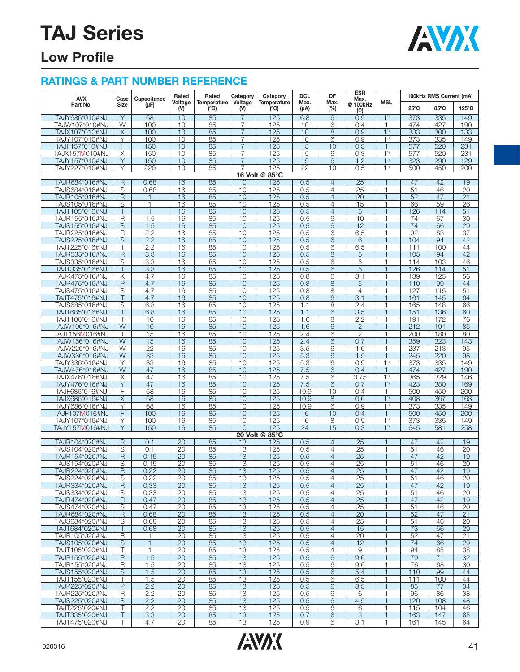

## **Low Profile**

| <b>AVX</b>                                | Case                   | Capacitance     | Rated           | Rated              | Category            | Category           | <b>DCL</b>      | DF                               | <b>ESR</b><br>Max.<br><b>MSL</b> |                         | 100kHz RMS Current (mA) |            |                       |  |  |
|-------------------------------------------|------------------------|-----------------|-----------------|--------------------|---------------------|--------------------|-----------------|----------------------------------|----------------------------------|-------------------------|-------------------------|------------|-----------------------|--|--|
| Part No.                                  | Size                   | $(\mu F)$       | Voltage<br>(V)  | Temperature<br>(C) | Voltage<br>(V)      | Temperature<br>(C) | Max.<br>(µA)    | Max.<br>(%)                      | @ 100kHz<br>$(\Omega)$           |                         | $25^{\circ}$ C          | 85°C       | 125°C                 |  |  |
| TAJY686*010#NJ                            | Υ                      | 68              | 10              | 85                 |                     | 125                | 6.8             | 6                                | 0.9                              | 1 <sup>1</sup>          | 373                     | 335        | 149                   |  |  |
| TAJW107*010#NJ                            | W                      | 100             | 10              | 85                 | 7                   | 125                | 10              | 6                                | 0.4                              | 1                       | 474                     | 427        | 190                   |  |  |
| TAJX107*010#NJ                            | X                      | 100             | 10              | 85                 | $\overline{7}$      | 125                | 10              | 8                                | 0.9                              | 1 <sup>1</sup>          | 333                     | 300        | 133                   |  |  |
| TAJY107*010#NJ                            | Υ                      | 100             | 10              | 85                 | 7                   | 125                | 10              | 6                                | 0.9                              | 11                      | 373                     | 335        | 149                   |  |  |
| TAJF157*010#NJ                            | F<br>Χ                 | 150             | 10<br>10        | 85<br>85           | 7<br>$\overline{7}$ | 125<br>125         | 15<br>15        | 10                               | 0.3                              | $\mathbf{1}$<br>$1^{1}$ | 577                     | 520<br>520 | 231<br>231            |  |  |
| TAJX157 <b>M</b> 010#NJ<br>TAJY157*010#NJ | Y                      | 150<br>150      | 10              | 85                 | 7                   | 125                | 15              | 6<br>6                           | 0.3<br>1.2                       | 1 <sup>1</sup>          | 577<br>323              | 290        | 129                   |  |  |
| TAJY227*010#NJ                            | Υ                      | 220             | 10              | 85                 | $\overline{7}$      | 125                | $\overline{22}$ | 10                               | 0.5                              | 11                      | 500                     | 450        | 200                   |  |  |
|                                           |                        |                 |                 |                    |                     | 16 Volt @ 85°C     |                 |                                  |                                  |                         |                         |            |                       |  |  |
| TAJR684*016#NJ                            | R                      | 0.68            | 16              | 85                 | 10                  | 125                | 0.5             | $\overline{4}$                   | 25                               |                         | 47                      | 42         | 19                    |  |  |
| TAJS684*016#NJ                            | S                      | 0.68            | 16              | 85                 | 10                  | 125                | 0.5             | 4                                | $\overline{25}$                  | 1                       | 51                      | 46         | 20                    |  |  |
| TAJR105*016#NJ                            | $\mathsf{R}$           |                 | 16              | 85                 | 10                  | 125                | 0.5             | $\overline{4}$                   | 20                               |                         | 52                      | 47         | $\overline{21}$       |  |  |
| TAJS105*016#NJ                            | S<br>$\overline{\top}$ | $\mathbf{1}$    | 16              | 85                 | 10                  | 125                | 0.5             | 4<br>$\overline{4}$              | 15                               |                         | 66                      | 59         | 26                    |  |  |
| TAJT105*016#NJ<br>TAJR155*016#NJ          | R                      | 1.5             | 16<br>16        | 85<br>85           | 10<br>10            | 125<br>125         | 0.5<br>0.5      | 6                                | $\overline{5}$<br>10             | $\mathbf{1}$<br>1       | 126<br>74               | 114<br>67  | 51<br>30              |  |  |
| TAJS155*016#NJ                            | S                      | 1.5             | 16              | 85                 | 10                  | 125                | 0.5             | 6                                | $\overline{12}$                  | $\overline{1}$          | 74                      | 66         | 29                    |  |  |
| TAJR225*016#NJ                            | R                      | 2.2             | 16              | 85                 | 10                  | 125                | 0.5             | 6                                | 6.5                              | 1                       | 92                      | 83         | 37                    |  |  |
| TAJS225*016#NJ                            | S                      | 2.2             | 16              | 85                 | 10                  | 125                | 0.5             | 6                                | 6                                |                         | 104                     | 94         | 42                    |  |  |
| TAJT225*016#NJ                            | т                      | 2.2             | 16              | 85                 | 10                  | 125                | 0.5             | 6                                | 6.5                              |                         | 111                     | 100        | 44                    |  |  |
| TAJR335*016#NJ                            | $\mathsf R$            | 3.3             | 16              | 85                 | 10                  | 125                | 0.5             | 8                                | 5                                | $\mathbf{1}$            | 105                     | 94         | 42                    |  |  |
| TAJS335*016#NJ                            | S                      | 3.3             | 16              | 85                 | 10                  | 125                | 0.5             | 6                                | 5                                | 1                       | 114                     | 103        | 46                    |  |  |
| TAJT335*016#NJ                            | $\mathbf{I}$           | 3.3             | 16              | 85                 | 10<br>10            | 125                | 0.5             | 6                                | 5                                |                         | 126                     | 114<br>125 | 51<br>56              |  |  |
| TAJK475*016#NJ<br>TAJP475*016#NJ          | Κ<br>P                 | 4.7<br>4.7      | 16<br>16        | 85<br>85           | 10                  | 125<br>125         | 0.8<br>0.8      | 6<br>8                           | 3.1<br>5                         | 1                       | 139<br>110              | 99         | 44                    |  |  |
| TAJS475*016#NJ                            | S                      | 4.7             | 16              | 85                 | 10                  | 125                | 0.8             | 8                                | 4                                |                         | 127                     | 115        | $\overline{51}$       |  |  |
| TAJT475*016#NJ                            | Τ                      | 4.7             | 16              | 85                 | 10                  | 125                | 0.8             | 6                                | $\overline{3.1}$                 | $\mathbf{1}$            | 161                     | 145        | 64                    |  |  |
| TAJS685*016#NJ                            | S                      | 6.8             | 16              | 85                 | 10                  | 125                | 1.1             | 8                                | 2.4                              | 1                       | 165                     | 148        | 66                    |  |  |
| TAJT685*016#NJ                            | Τ                      | 6.8             | 16              | 85                 | 10                  | 125                | 1.1             | 6                                | $\overline{3.5}$                 | $\mathbf{1}$            | 151                     | 136        | 60                    |  |  |
| TAJT106*016#NJ                            | Τ                      | 10              | 16              | 85                 | 10                  | 125                | 1.6             | 8                                | 2.2                              | 1                       | 191                     | 172        | 76                    |  |  |
| TAJW106*016#NJ                            | W                      | 10              | 16              | 85                 | 10                  | 125                | 1.6             | 6                                | $\mathbf{2}$                     | $\overline{1}$          | 212                     | 191        | 85                    |  |  |
| TAJT156 <b>M</b> 016#NJ<br>TAJW156*016#NJ | W                      | 15<br>15        | 16<br>16        | 85<br>85           | 10<br>10            | 125<br>125         | 2.4<br>2.4      | 6<br>6                           | $\mathbf{2}$<br>0.7              | $\mathbf{1}$            | 200<br>359              | 180<br>323 | 80<br>143             |  |  |
| TAJW226*016#NJ                            | W                      | $\overline{22}$ | 16              | 85                 | 10                  | 125                | 3.5             | 6                                | 1.6                              | 1                       | 237                     | 213        | 95                    |  |  |
| TAJW336*016#NJ                            | $\overline{W}$         | $\overline{33}$ | 16              | 85                 | 10                  | 125                | 5.3             | 6                                | 1.5                              | $\overline{1}$          | 245                     | 220        | 98                    |  |  |
| TAJY336*016#NJ                            | Υ                      | 33              | 16              | 85                 | 10                  | 125                | 5.3             | 6                                | 0.9                              | 1 <sup>1</sup>          | 373                     | 335        | 149                   |  |  |
| TAJW476*016#NJ                            | W                      | 47              | 16              | 85                 | 10                  | 125                | 7.5             | 6                                | 0.4                              | $\overline{1}$          | 474                     | 427        | 190                   |  |  |
| TAJX476*016#NJ                            | Χ                      | 47              | 16              | 85                 | 10                  | 125                | 7.5             | 6                                | 0.75                             | 1 <sup>1</sup>          | 365                     | 329        | 146                   |  |  |
| TAJY476*016#NJ                            | Y                      | 47              | 16              | 85                 | 10                  | 125                | 7.5             | 6                                | 0.7                              | 1 <sup>1</sup>          | 423                     | 380        | 169                   |  |  |
| TAJF686*016#NJ                            | F<br>X                 | 68<br>68        | 16              | 85<br>85           | 10<br>10            | 125                | 10.9            | 10                               | 0.4                              | 1<br>1 <sup>1</sup>     | 500<br>408              | 450<br>367 | 200                   |  |  |
| TAJX686*016#NJ<br>TAJY686*016#NJ          | Υ                      | 68              | 16<br>16        | 85                 | 10                  | 125<br>125         | 10.9<br>10.9    | 8<br>6                           | 0.6<br>0.9                       | 1 <sup>1</sup>          | 373                     | 335        | 163<br>149            |  |  |
| TAJF107M016#NJ                            | F                      | 100             | 16              | 85                 | 10                  | 125                | 16              | 10                               | 0.4                              | $\mathbf{1}$            | 500                     | 450        | 200                   |  |  |
| TAJY107*016#NJ                            | Υ                      | 100             | 16              | 85                 | 10                  | 125                | 16              | 8                                | 0.9                              | 1 <sup>1</sup>          | 373                     | 335        | 149                   |  |  |
| TAJY157M016#NJ                            | Υ                      | 150             | 16              | 85                 | 10                  | 125                | $\overline{24}$ | $\overline{15}$                  | 0.3                              | 1 <sup>1</sup>          | 645                     | 581        | 258                   |  |  |
|                                           |                        |                 |                 |                    |                     | 20 Volt @ 85°C     |                 |                                  |                                  |                         |                         |            |                       |  |  |
| TAJR104*020#NJ                            | R                      | 0.1             | 20              | 85                 | 13                  | 125                | 0.5             | 4                                | 25                               |                         | 47                      | 42         | 19                    |  |  |
| TAJS104*020#NJ                            | S                      | 0.1             | 20              | 85                 | 13                  | 125                | 0.5             | 4                                | 25                               | 1                       | 51                      | 46         | $\overline{20}$       |  |  |
| TAJR154*020#NJ<br>TAJS154*020#NJ          | $\mathsf{R}$<br>S      | 0.15<br>0.15    | 20<br>20        | 85<br>85           | 13<br>13            | 125<br>125         | 0.5<br>0.5      | $\overline{4}$<br>4              | 25<br>25                         |                         | 47<br>51                | 42<br>46   | 19<br>$\overline{20}$ |  |  |
| TAJR224*020#NJ                            | R                      | 0.22            | $\overline{20}$ | 85                 | 13                  | 125                | 0.5             | $\overline{4}$                   | $\overline{25}$                  | $\mathbf{1}$            | 47                      | 42         | 19                    |  |  |
| TAJS224*020#NJ                            | S                      | 0.22            | 20              | 85                 | 13                  | 125                | 0.5             | $\overline{4}$                   | 25                               | 1                       | 51                      | 46         | 20                    |  |  |
| TAJR334*020#NJ                            | $\mathsf{R}$           | 0.33            | 20              | 85                 | 13                  | 125                | 0.5             | $\overline{4}$                   | 25                               | $\mathbf{1}$            | 47                      | 42         | 19                    |  |  |
| TAJS334*020#NJ                            | S                      | 0.33            | 20              | 85                 | 13                  | 125                | 0.5             | 4                                | 25                               | 1                       | 51                      | 46         | 20                    |  |  |
| TAJR474*020#NJ                            | $\mathsf{R}$           | 0.47            | 20              | 85                 | 13                  | 125                | 0.5             | $\overline{4}$                   | 25                               | $\mathbf{1}$            | 47                      | 42         | 19                    |  |  |
| TAJS474*020#NJ                            | S                      | 0.47            | 20              | 85                 | 13                  | 125                | 0.5             | $\overline{4}$                   | 25                               |                         | 51                      | 46         | 20                    |  |  |
| TAJR684*020#NJ<br>TAJS684*020#NJ          | $\mathsf{R}$<br>S      | 0.68<br>0.68    | 20<br>20        | 85<br>85           | 13<br>13            | 125<br>125         | 0.5<br>0.5      | $\overline{4}$<br>$\overline{4}$ | 20<br>25                         | $\mathbf{1}$<br>1       | 52<br>51                | 47<br>46   | 21<br>20              |  |  |
| TAJT684*020#NJ                            | $\mathbf{I}$           | 0.68            | 20              | 85                 | 13                  | 125                | 0.5             | $\overline{4}$                   | 15                               | 1                       | 73                      | 66         | 29                    |  |  |
| TAJR105*020#NJ                            | R                      | 1               | 20              | 85                 | 13                  | 125                | 0.5             | $\overline{4}$                   | 20                               | 1                       | 52                      | 47         | 21                    |  |  |
| TAJS105*020#NJ                            | S                      | $\mathbf{1}$    | 20              | 85                 | 13                  | 125                | 0.5             | $\overline{4}$                   | 12                               | 1                       | 74                      | 66         | 29                    |  |  |
| TAJT105*020#NJ                            |                        | 1               | 20              | 85                 | 13                  | 125                | 0.5             | $\overline{4}$                   | 9                                | 1                       | 94                      | 85         | 38                    |  |  |
| TAJP155*020#NJ                            | $\overline{P}$         | 1.5             | 20              | 85                 | 13                  | 125                | 0.5             | 6                                | 9.6                              | $\mathbf{1}$            | 79                      | 71         | $\overline{32}$       |  |  |
| TAJR155*020#NJ                            | $\mathsf R$            | 1.5             | 20              | 85                 | 13                  | 125                | 0.5             | 6                                | 9.6                              | 1                       | 76                      | 68         | 30                    |  |  |
| TAJS155*020#NJ                            | S                      | 1.5             | 20              | 85                 | 13                  | 125                | 0.5             | 6                                | 5.4                              | $\mathbf{1}$            | 110                     | 99         | 44                    |  |  |
| TAJT155*020#NJ<br>TAJP225*020#NJ          | Τ<br>P                 | 1.5<br>2.2      | 20<br>20        | 85<br>85           | 13<br>13            | 125<br>125         | 0.5<br>0.5      | 6<br>6                           | 6.5<br>8.3                       | 1<br>$\mathbf{1}$       | 111<br>85               | 100<br>77  | 44<br>34              |  |  |
| TAJR225*020#NJ                            | R                      | 2.2             | 20              | 85                 | 13                  | 125                | 0.5             | 6                                | 6                                | 1                       | 96                      | 86         | $\overline{38}$       |  |  |
| TAJS225*020#NJ                            | $\mathbb S$            | 2.2             | 20              | 85                 | 13                  | 125                | 0.5             | 6                                | 4.5                              | $\mathbf{1}$            | 120                     | 108        | 48                    |  |  |
| TAJT225*020#NJ                            | Τ                      | 2.2             | 20              | 85                 | 13                  | 125                | 0.5             | 6                                | 6                                | $\mathbf{1}$            | 115                     | 104        | 46                    |  |  |
| TAJT335*020#NJ                            |                        | 3.3             | 20              | 85                 | 13                  | 125                | 0.7             | 6                                | 3                                | 1                       | 163                     | 147        | 65                    |  |  |
| TAJT475*020#NJ                            | Τ                      | 4.7             | $\overline{20}$ | 85                 | 13                  | 125                | 0.9             | 6                                | 3.1                              | $\mathbf{1}$            | 161                     | 145        | 64                    |  |  |

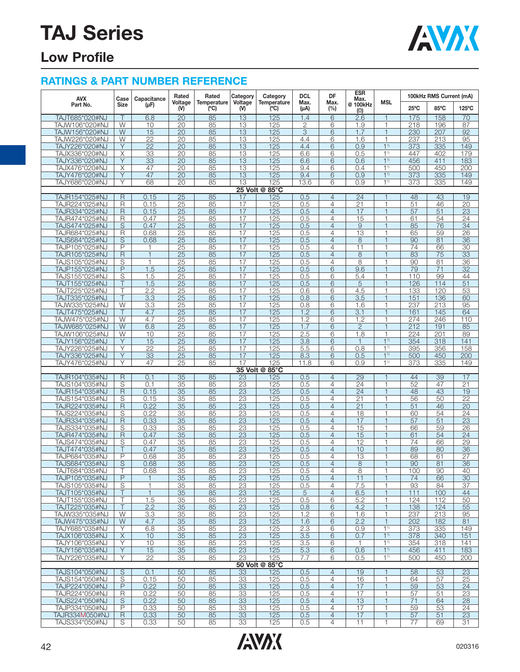

## **Low Profile**

| <b>AVX</b>                       | Case                    | Capacitance      | Rated                 | Rated              | Category              | Category                  | <b>DCL</b>        | DF                  | ESR<br>Max.                        |                          | 100kHz RMS Current (mA) |                 |                       |  |
|----------------------------------|-------------------------|------------------|-----------------------|--------------------|-----------------------|---------------------------|-------------------|---------------------|------------------------------------|--------------------------|-------------------------|-----------------|-----------------------|--|
| Part No.                         | Size                    | $(\mu F)$        | Voltage<br>$(M)$      | Temperature<br>(C) | Voltage<br>(N)        | <b>Temperature</b><br>(C) | Max.<br>$(\mu A)$ | Max.<br>(%)         | @ 100kHz<br>$(\Omega)$             | <b>MSL</b>               | $25^{\circ}$ C          | 85°C            | 125°C                 |  |
| TAJT685*020#NJ                   |                         | 6.8              | 20                    | 85                 | 13                    | 125                       | 1.4               | 6                   | 2.6                                | 1                        | 175                     | 158             | 70                    |  |
| TAJW106*020#NJ                   | W                       | 10               | 20                    | 85                 | 13                    | 125                       | $\mathbf{2}$      | 6                   | 1.9                                | $\mathbf{1}$             | 218                     | 196             | 87                    |  |
| TAJW156*020#NJ                   | W                       | 15               | 20                    | 85                 | 13                    | 125                       | 3                 | 6                   | 1.7                                | $\mathbf{1}$             | 230                     | 207             | 92                    |  |
| TAJW226*020#NJ                   | W                       | $\overline{22}$  | $\overline{20}$       | 85                 | 13                    | 125                       | 4.4               | 6                   | 1.6                                | 1                        | 237                     | 213             | 95                    |  |
| TAJY226*020#NJ                   | Y                       | $\overline{22}$  | $\overline{20}$       | 85                 | 13                    | 125                       | 4.4               | 6                   | 0.9                                | 1 <sup>1</sup>           | 373                     | 335             | 149                   |  |
| TAJX336*020#NJ                   | X                       | 33               | 20                    | 85                 | 13                    | 125                       | 6.6               | 6                   | 0.5                                | 1 <sup>1</sup>           | 447                     | 402             | 179                   |  |
| TAJY336*020#NJ                   | $\overline{Y}$          | $\overline{33}$  | $\overline{20}$       | 85                 | $\overline{13}$       | 125                       | 6.6               | 6                   | 0.6                                | $1^{1}$                  | 456                     | 411             | 183                   |  |
| TAJX476*020#NJ                   | X                       | 47               | 20                    | 85                 | 13                    | 125                       | 9.4               | 6                   | 0.4                                | 1 <sup>1</sup>           | 500                     | 450             | 200                   |  |
| TAJY476*020#NJ                   | Y                       | 47               | 20                    | 85                 | 13                    | 125                       | 9.4               | 6                   | 0.9                                | 1 <sup>1</sup>           | 373                     | 335             | 149                   |  |
| TAJY686*020#NJ                   | Υ                       | 68               | $\overline{20}$       | 85                 | 13                    | 125                       | 13.6              | 6                   | 0.9                                | 11                       | 373                     | 335             | 149                   |  |
|                                  |                         |                  |                       |                    |                       | 25 Volt @ 85°C            |                   |                     |                                    |                          |                         |                 |                       |  |
| TAJR154*025#NJ<br>TAJR224*025#NJ | $\mathsf{R}$<br>R       | 0.15<br>0.15     | 25<br>25              | 85<br>85           | 17<br>$\overline{17}$ | 125<br>125                | 0.5<br>0.5        | $\overline{4}$<br>4 | $\overline{24}$<br>$\overline{21}$ | 1                        | 48<br>51                | 43<br>46        | 19<br>$\overline{20}$ |  |
| TAJR334*025#NJ                   | $\overline{R}$          | 0.15             | 25                    | 85                 | 17                    | 125                       | 0.5               | $\overline{4}$      | 17                                 | $\mathbf{1}$             | 57                      | 51              | 23                    |  |
| TAJR474*025#NJ                   | R                       | 0.47             | 25                    | 85                 | 17                    | 125                       | 0.5               | 4                   | 15                                 | 1                        | 61                      | 54              | 24                    |  |
| TAJS474*025#NJ                   | S                       | 0.47             | 25                    | 85                 | 17                    | 125                       | 0.5               | $\overline{4}$      | $\overline{9}$                     | $\overline{1}$           | 85                      | 76              | $\overline{34}$       |  |
| TAJR684*025#NJ                   | R                       | 0.68             | 25                    | 85                 | 17                    | 125                       | 0.5               | 4                   | 13                                 |                          | 65                      | 59              | 26                    |  |
| TAJS684*025#NJ                   | $\mathbb S$             | 0.68             | 25                    | 85                 | 17                    | 125                       | 0.5               | $\overline{4}$      | 8                                  | $\mathbf{1}$             | 90                      | 81              | 36                    |  |
| TAJP105*025#NJ                   | $\overline{P}$          | $\mathbf{1}$     | 25                    | 85                 | 17                    | 125                       | 0.5               | $\overline{4}$      | $\overline{11}$                    | 1                        | 74                      | 66              | $\overline{30}$       |  |
| TAJR105*025#NJ                   | $\overline{R}$          | $\mathbf{1}$     | 25                    | 85                 | 17                    | 125                       | 0.5               | $\overline{4}$      | $\,8\,$                            | 1                        | 83                      | 75              | 33                    |  |
| TAJS105*025#NJ                   | S                       | $\mathbf{1}$     | 25                    | 85                 | 17                    | 125                       | 0.5               | $\overline{4}$      | 8                                  | 1                        | 90                      | 81              | 36                    |  |
| TAJP155*025#NJ                   | $\overline{P}$          | 1.5              | 25                    | 85                 | 17                    | 125                       | 0.5               | 6                   | 9.6                                | $\overline{1}$           | 79                      | $\overline{71}$ | $\overline{32}$       |  |
| TAJS155*025#NJ                   | $\overline{\mathsf{s}}$ | 1.5              | 25                    | 85                 | 17                    | 125                       | 0.5               | 6                   | 5.4                                | $\mathbf{1}$             | 110                     | 99              | 44                    |  |
| TAJT155*025#NJ                   | $\top$                  | 1.5              | 25                    | 85                 | 17                    | 125                       | 0.5               | 6                   | 5                                  | $\mathbf{1}$             | 126                     | 114             | 51                    |  |
| TAJT225*025#NJ                   | Τ                       | 2.2              | 25                    | 85                 | $\overline{17}$       | 125                       | 0.6               | 6                   | 4.5                                | 1                        | 133                     | 120             | 53                    |  |
| TAJT335*025#NJ                   | Τ                       | $\overline{3.3}$ | 25                    | 85                 | 17                    | 125                       | 0.8               | 6                   | 3.5                                | $\mathbf{1}$             | 151                     | 136             | 60                    |  |
| TAJW335*025#NJ                   | W                       | 3.3              | 25                    | 85                 | 17                    | 125                       | 0.8               | 6                   | 1.6                                | 1                        | 237                     | 213             | 95                    |  |
| TAJT475*025#NJ<br>TAJW475*025#NJ | Τ<br>W                  | 4.7<br>4.7       | $\overline{25}$       | 85                 | 17<br>17              | 125                       | 1.2<br>1.2        | 6<br>6              | $\overline{3.1}$<br>1.2            | $\mathbf{1}$             | 161                     | 145<br>246      | 64<br>110             |  |
| TAJW685*025#NJ                   | W                       | 6.8              | $\overline{25}$<br>25 | 85<br>85           | 17                    | 125<br>125                | 1.7               | 6                   | $\mathbf{2}$                       | $\mathbf{1}$             | 274<br>212              | 191             | 85                    |  |
| TAJW106*025#NJ                   | W                       | 10               | 25                    | 85                 | 17                    | 125                       | 2.5               | 6                   | 1.8                                | 1                        | 224                     | 201             | 89                    |  |
| TAJY156*025#NJ                   | Y                       | 15               | 25                    | 85                 | 17                    | 125                       | 3.8               | 6                   | $\mathbf{1}$                       | 1 <sup>1</sup>           | 354                     | 318             | 141                   |  |
| TAJY226*025#NJ                   | Υ                       | 22               | 25                    | 85                 | 17                    | 125                       | 5.5               | 6                   | 0.8                                | 1 <sup>1</sup>           | 395                     | 356             | 158                   |  |
| TAJY336*025#NJ                   | Y                       | $\overline{33}$  | $\overline{25}$       | 85                 | 17                    | 125                       | 8.3               | 6                   | 0.5                                | 1 <sup>1</sup>           | 500                     | 450             | 200                   |  |
| TAJY476*025#NJ                   | Υ                       | 47               | 25                    | 85                 | 17                    | 125                       | 11.8              | 6                   | 0.9                                | 11                       | 373                     | 335             | 149                   |  |
|                                  |                         |                  |                       |                    |                       | 35 Volt @ 85°C            |                   |                     |                                    |                          |                         |                 |                       |  |
| TAJR104*035#NJ                   | R                       | 0.1              | 35                    | 85                 | 23                    | 125                       | 0.5               | $\overline{4}$      | 29                                 | 1                        | 44                      | 39              | 17                    |  |
| TAJS104*035#NJ                   | S                       | 0.1              | 35                    | 85                 | 23                    | 125                       | 0.5               | $\overline{4}$      | $\overline{24}$                    | 1                        | 52                      | 47              | $\overline{21}$       |  |
| TAJR154*035#NJ                   | $\mathsf R$             | 0.15             | 35                    | 85                 | 23                    | 125                       | 0.5               | $\overline{4}$      | 24                                 | $\mathbf{1}$             | 48                      | 43              | 19                    |  |
| TAJS154*035#NJ                   | S                       | 0.15             | 35                    | 85                 | $\overline{23}$       | 125                       | 0.5               | $\overline{4}$      | $\overline{21}$                    | 1                        | 56                      | 50              | $\overline{22}$       |  |
| TAJR224*035#NJ                   | $\mathsf{R}$            | 0.22             | 35                    | 85                 | $\overline{23}$       | 125                       | 0.5               | $\overline{4}$      | 21                                 | $\overline{1}$           | 51                      | 46              | $\overline{20}$       |  |
| TAJS224*035#NJ<br>TAJR334*035#NJ | S<br>$\mathsf{R}$       | 0.22<br>0.33     | 35<br>35              | 85<br>85           | 23<br>$\overline{23}$ | 125<br>125                | 0.5<br>0.5        | 4<br>$\overline{4}$ | 18<br>17                           | 1<br>$\mathbf{1}$        | 60<br>57                | 54<br>51        | 24<br>$\overline{23}$ |  |
| TAJS334*035#NJ                   | S                       | 0.33             | 35                    | 85                 | 23                    | 125                       | 0.5               | 4                   | 15                                 | 1                        | 66                      | 59              | 26                    |  |
| TAJR474*035#NJ                   | $\mathsf{R}$            | 0.47             | 35                    | 85                 | 23                    | 125                       | 0.5               | $\overline{4}$      | 15                                 | $\mathbf{1}$             | 61                      | 54              | 24                    |  |
| TAJS474*035#NJ                   | S                       | 0.47             | 35                    | 85                 | 23                    | 125                       | 0.5               | $\overline{4}$      | $\overline{12}$                    | 1                        | 74                      | 66              | $\overline{29}$       |  |
| TAJT474*035#NJ                   | Τ                       | 0.47             | 35                    | 85                 | 23                    | 125                       | 0.5               | $\overline{4}$      | 10                                 | $\overline{\phantom{a}}$ | 89                      | 80              | 36                    |  |
| TAJP684*035#NJ                   | P                       | 0.68             | 35                    | 85                 | 23                    | 125                       | 0.5               | 4                   | 13                                 | 1                        | 68                      | 61              | 27                    |  |
| TAJS684*035#NJ                   | S                       | 0.68             | 35                    | 85                 | 23                    | 125                       | 0.5               | $\overline{4}$      | 8                                  | 1                        | 90                      | 81              | 36                    |  |
| TAJT684*035#NJ                   | Τ                       | 0.68             | 35                    | 85                 | 23                    | 125                       | 0.5               | 4                   | 8                                  | 1                        | <u>100</u>              | 90              | 40                    |  |
| TAJP105*035#NJ                   | $\mathsf{P}$            | 1                | 35                    | 85                 | 23                    | 125                       | 0.5               | $\overline{4}$      | 11                                 | 1                        | 74                      | 66              | 30                    |  |
| TAJS105*035#NJ                   | S                       | 1                | 35                    | 85                 | 23                    | 125                       | 0.5               | 4                   | 7.5                                | 1                        | 93                      | 84              | 37                    |  |
| TAJT105*035#NJ                   | Τ                       | $\mathbf{1}$     | 35                    | 85                 | 23                    | 125                       | 5                 | $\overline{4}$      | 6.5                                | $\mathbf{1}$             | 111                     | 100             | 44                    |  |
| TAJT155*035#NJ                   | Τ<br>$\top$             | 1.5              | 35                    | 85                 | 23                    | 125                       | 0.5               | 6                   | 5.2                                | 1                        | 124                     | 112             | 50                    |  |
| TAJT225*035#NJ<br>TAJW335*035#NJ | W                       | 2.2<br>3.3       | 35<br>35              | 85<br>85           | 23<br>23              | 125<br>125                | 0.8<br>1.2        | 6<br>6              | 4.2<br>1.6                         | $\mathbf{1}$<br>1        | 138<br>237              | 124<br>213      | 55<br>95              |  |
| TAJW475*035#NJ                   | W                       | 4.7              | 35                    | 85                 | 23                    | 125                       | 1.6               | 6                   | 2.2                                | $\mathbf{1}$             | 202                     | 182             | 81                    |  |
| TAJY685*035#NJ                   | Υ                       | 6.8              | 35                    | 85                 | 23                    | 125                       | 2.3               | 6                   | 0.9                                | 1 <sup>1</sup>           | 373                     | 335             | 149                   |  |
| TAJX106*035#NJ                   | $\overline{X}$          | 10               | 35                    | 85                 | 23                    | 125                       | 3.5               | 6                   | 0.7                                | 1 <sup>1</sup>           | 378                     | 340             | 151                   |  |
| TAJY106*035#NJ                   | Y                       | 10               | 35                    | 85                 | 23                    | 125                       | 3.5               | 6                   | $\mathbf{1}$                       | 1 <sup>1</sup>           | 354                     | 318             | 141                   |  |
| TAJY156*035#NJ                   | Y                       | 15               | 35                    | 85                 | 23                    | 125                       | 5.3               | 6                   | 0.6                                | 1 <sup>1</sup>           | 456                     | 411             | 183                   |  |
| TAJY226*035#NJ                   | Υ                       | $\overline{22}$  | 35                    | 85                 | 23                    | 125                       | 7.7               | 6                   | 0.5                                | 1 <sup>1</sup>           | 500                     | 450             | 200                   |  |
|                                  |                         |                  |                       |                    |                       | 50 Volt @ 85°C            |                   |                     |                                    |                          |                         |                 |                       |  |
| TAJS104*050#NJ                   | S                       | 0.1              | 50                    | 85                 | 33                    | 125                       | 0.5               | $\overline{4}$      | 19                                 |                          | 58                      | 53              | 23                    |  |
| TAJS154*050#NJ                   | $\overline{S}$          | 0.15             | 50                    | 85                 | 33                    | 125                       | 0.5               | $\overline{4}$      | 16                                 | $\mathbf{1}$             | 64                      | 57              | 25                    |  |
| TAJP224*050#NJ                   | P                       | 0.22             | 50                    | 85                 | 33                    | 125                       | 0.5               | $\overline{4}$      | 17                                 | $\mathbf{1}$             | 59                      | 53              | 24                    |  |
| TAJR224*050#NJ                   | R                       | 0.22             | 50                    | 85                 | 33                    | 125                       | 0.5               | $\overline{4}$      | 17                                 | 1                        | 57                      | 51              | 23                    |  |
| TAJS224*050#NJ                   | $\overline{S}$<br>P     | 0.22             | 50                    | 85                 | 33                    | 125                       | 0.5               | $\overline{4}$<br>4 | 13                                 | $\mathbf{1}$             | 71                      | 64              | 28<br>24              |  |
| TAJP334*050#NJ<br>TAJR334M050#NJ | R                       | 0.33<br>0.33     | 50<br>50              | 85<br>85           | 33<br>33              | 125<br>125                | 0.5<br>0.5        | $\overline{4}$      | 17<br>17                           | 1<br>1                   | 59<br>57                | 53<br>51        | 23                    |  |
| TAJS334*050#NJ                   | $\overline{\mathsf{s}}$ | 0.33             | 50                    | 85                 | 33                    | 125                       | 0.5               | 4                   | 11                                 | 1                        | $\overline{77}$         | 69              | 31                    |  |
|                                  |                         |                  |                       |                    |                       |                           |                   |                     |                                    |                          |                         |                 |                       |  |